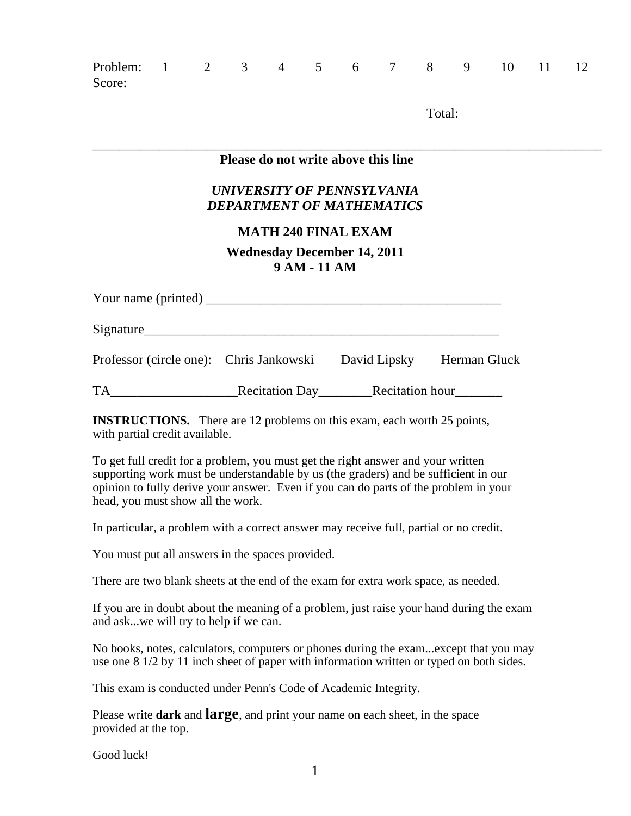| Problem: 1 2 3 4 5 6 7 8 9 10<br>Score:                                                                          |  |  |  |  |  |  |  |        |  |  | $11 \t 12$ |  |  |
|------------------------------------------------------------------------------------------------------------------|--|--|--|--|--|--|--|--------|--|--|------------|--|--|
|                                                                                                                  |  |  |  |  |  |  |  | Total: |  |  |            |  |  |
| Please do not write above this line                                                                              |  |  |  |  |  |  |  |        |  |  |            |  |  |
| UNIVERSITY OF PENNSYLVANIA<br><b>DEPARTMENT OF MATHEMATICS</b>                                                   |  |  |  |  |  |  |  |        |  |  |            |  |  |
| <b>MATH 240 FINAL EXAM</b>                                                                                       |  |  |  |  |  |  |  |        |  |  |            |  |  |
| <b>Wednesday December 14, 2011</b><br>9 AM - 11 AM                                                               |  |  |  |  |  |  |  |        |  |  |            |  |  |
| Your name (printed) $\frac{1}{\sqrt{1-\frac{1}{2}}}\left[\frac{1}{\sqrt{1-\frac{1}{2}}}\right]$                  |  |  |  |  |  |  |  |        |  |  |            |  |  |
|                                                                                                                  |  |  |  |  |  |  |  |        |  |  |            |  |  |
| Professor (circle one): Chris Jankowski David Lipsky Herman Gluck                                                |  |  |  |  |  |  |  |        |  |  |            |  |  |
|                                                                                                                  |  |  |  |  |  |  |  |        |  |  |            |  |  |
| <b>INSTRUCTIONS.</b> There are 12 problems on this exam, each worth 25 points,<br>with partial credit available. |  |  |  |  |  |  |  |        |  |  |            |  |  |

To get full credit for a problem, you must get the right answer and your written supporting work must be understandable by us (the graders) and be sufficient in our opinion to fully derive your answer. Even if you can do parts of the problem in your head, you must show all the work.

In particular, a problem with a correct answer may receive full, partial or no credit.

You must put all answers in the spaces provided.

There are two blank sheets at the end of the exam for extra work space, as needed.

If you are in doubt about the meaning of a problem, just raise your hand during the exam and ask...we will try to help if we can.

No books, notes, calculators, computers or phones during the exam...except that you may use one 8 1/2 by 11 inch sheet of paper with information written or typed on both sides.

This exam is conducted under Penn's Code of Academic Integrity.

Please write **dark** and **large**, and print your name on each sheet, in the space provided at the top.

Good luck!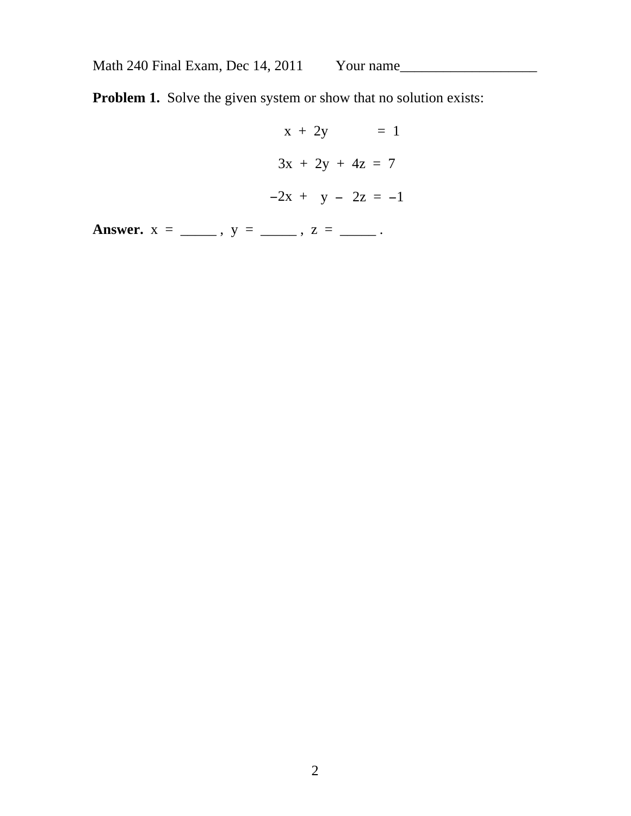**Problem 1.** Solve the given system or show that no solution exists:

 $x + 2y = 1$  $3x + 2y + 4z = 7$  $-2x + y - 2z = -1$ 

**Answer.**  $x =$  \_\_\_\_\_\_,  $y =$  \_\_\_\_\_,  $z =$  \_\_\_\_\_.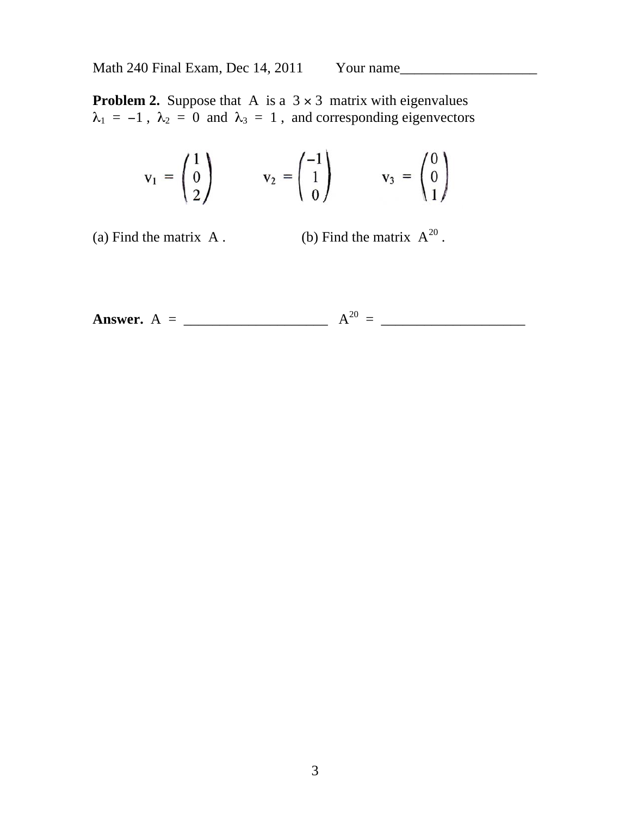**Problem 2.** Suppose that A is a  $3 \times 3$  matrix with eigenvalues  $\lambda_1 = -1$ ,  $\lambda_2 = 0$  and  $\lambda_3 = 1$ , and corresponding eigenvectors

$$
\mathbf{v}_1 = \begin{pmatrix} 1 \\ 0 \\ 2 \end{pmatrix} \qquad \mathbf{v}_2 = \begin{pmatrix} -1 \\ 1 \\ 0 \end{pmatrix} \qquad \mathbf{v}_3 = \begin{pmatrix} 0 \\ 0 \\ 1 \end{pmatrix}
$$

(a) Find the matrix A . (b) Find the matrix  $A^{20}$ .

**Answer.** A = \_\_\_\_\_\_\_\_\_\_\_\_\_\_\_\_\_\_\_\_ A<sup>20</sup> = \_\_\_\_\_\_\_\_\_\_\_\_\_\_\_\_\_\_\_\_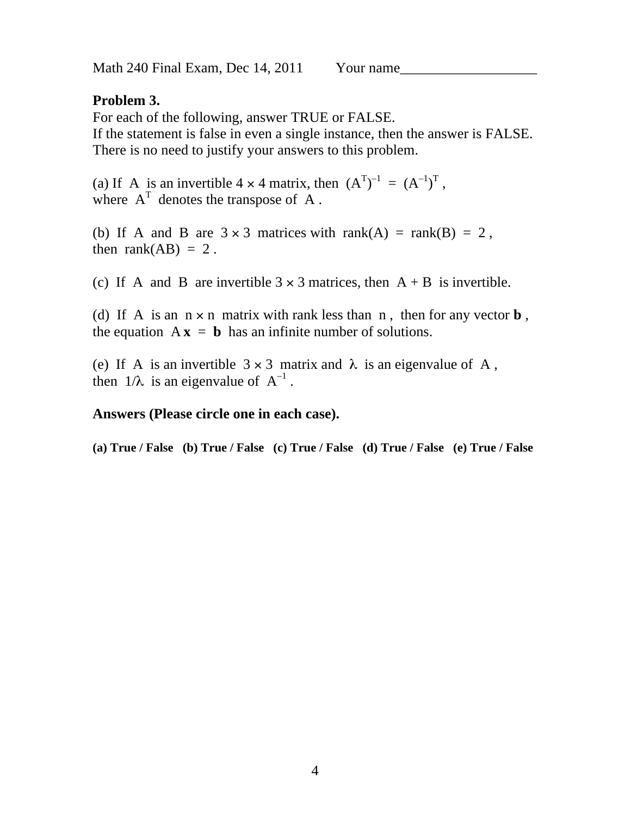### **Problem 3.**

For each of the following, answer TRUE or FALSE. If the statement is false in even a single instance, then the answer is FALSE. There is no need to justify your answers to this problem.

(a) If A is an invertible  $4 \times 4$  matrix, then  $(A<sup>T</sup>)<sup>-1</sup> = (A<sup>-1</sup>)<sup>T</sup>$ , where  $A<sup>T</sup>$  denotes the transpose of A.

(b) If A and B are  $3 \times 3$  matrices with rank(A) = rank(B) = 2, then rank $(AB) = 2$ .

(c) If A and B are invertible  $3 \times 3$  matrices, then  $A + B$  is invertible.

(d) If A is an  $n \times n$  matrix with rank less than n, then for any vector **b**, the equation  $A x = b$  has an infinite number of solutions.

(e) If A is an invertible  $3 \times 3$  matrix and  $\lambda$  is an eigenvalue of A, then  $1/\lambda$  is an eigenvalue of  $A^{-1}$ .

#### **Answers (Please circle one in each case).**

**(a) True / False (b) True / False (c) True / False (d) True / False (e) True / False**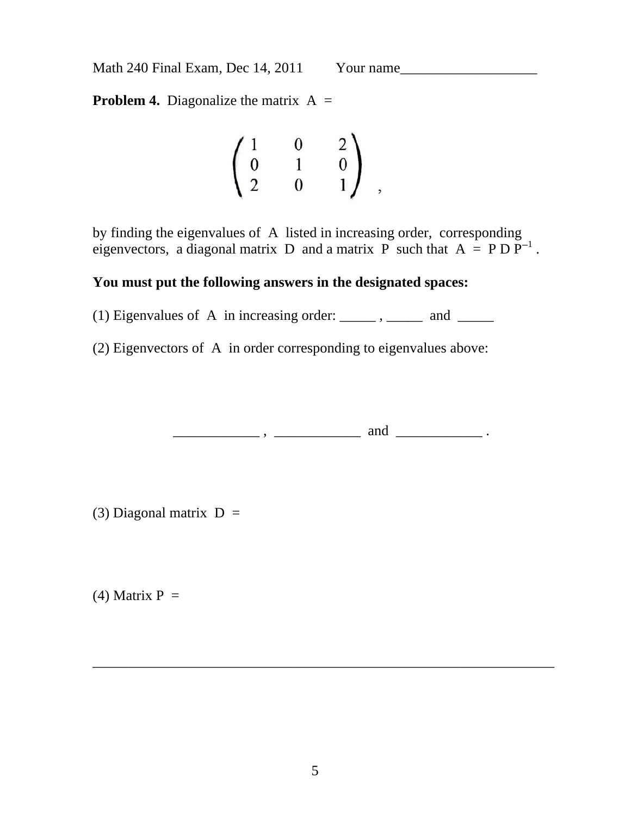**Problem 4.** Diagonalize the matrix  $A =$ 

$$
\begin{pmatrix} 1 & 0 & 2 \\ 0 & 1 & 0 \\ 2 & 0 & 1 \end{pmatrix} ,
$$

by finding the eigenvalues of A listed in increasing order, corresponding eigenvectors, a diagonal matrix D and a matrix P such that  $A = P D P^{-1}$ .

#### **You must put the following answers in the designated spaces:**

(1) Eigenvalues of A in increasing order:  $\frac{1}{\sqrt{1-\frac{1}{n}}}$ , and  $\frac{1}{\sqrt{1-\frac{1}{n}}}$ 

(2) Eigenvectors of A in order corresponding to eigenvalues above:

 $\frac{1}{\sqrt{2\pi}}$  ,  $\frac{1}{\sqrt{2\pi}}$  and  $\frac{1}{\sqrt{2\pi}}$ .

(3) Diagonal matrix  $D =$ 

(4) Matrix  $P =$ 

\_\_\_\_\_\_\_\_\_\_\_\_\_\_\_\_\_\_\_\_\_\_\_\_\_\_\_\_\_\_\_\_\_\_\_\_\_\_\_\_\_\_\_\_\_\_\_\_\_\_\_\_\_\_\_\_\_\_\_\_\_\_\_\_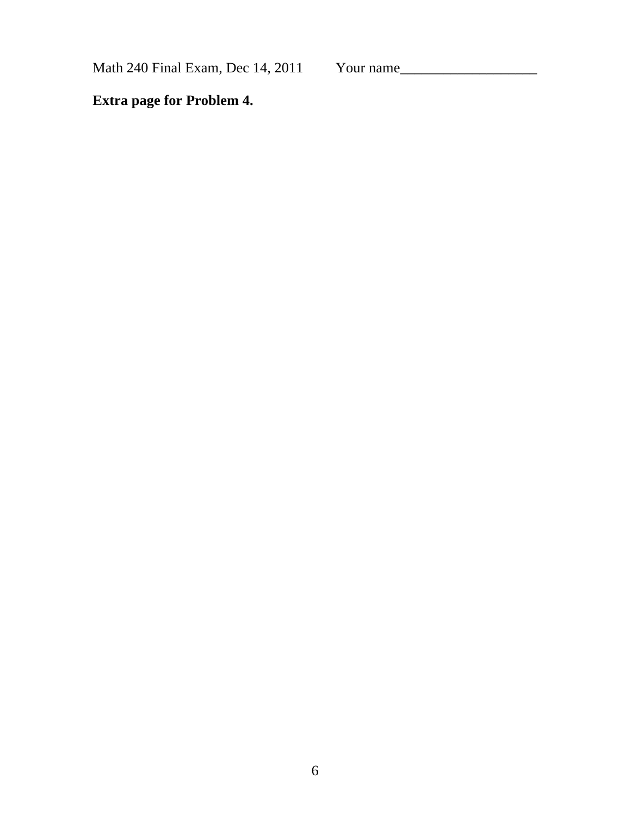Math 240 Final Exam, Dec 14, 2011 Your name\_\_\_\_\_\_\_\_\_\_\_\_\_\_\_\_\_\_\_

**Extra page for Problem 4.**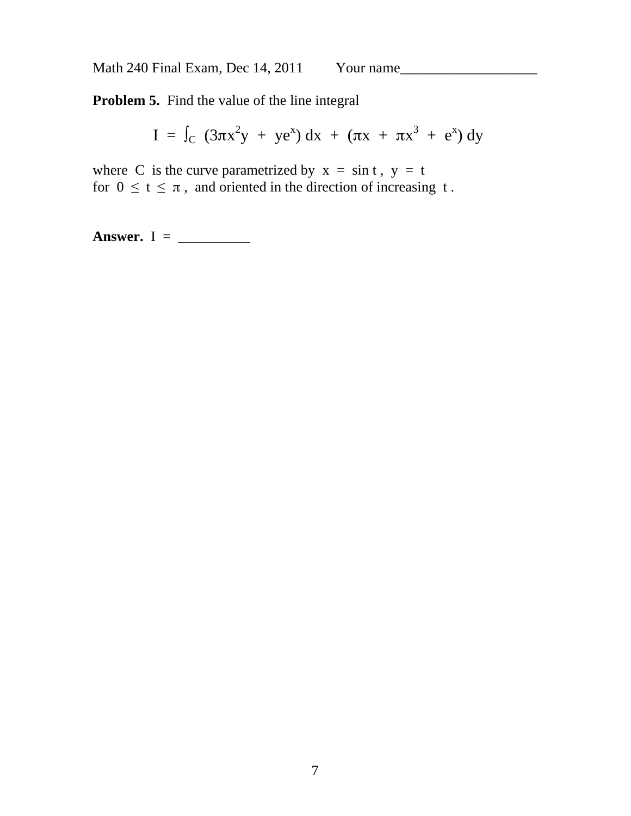**Problem 5.** Find the value of the line integral

I =  $\int_C$  (3πx<sup>2</sup>y + ye<sup>x</sup>) dx + (πx + πx<sup>3</sup> + e<sup>x</sup>) dy

where C is the curve parametrized by  $x = \sin t$ ,  $y = t$ for  $0 \le t \le \pi$ , and oriented in the direction of increasing t.

**Answer.** I = \_\_\_\_\_\_\_\_\_\_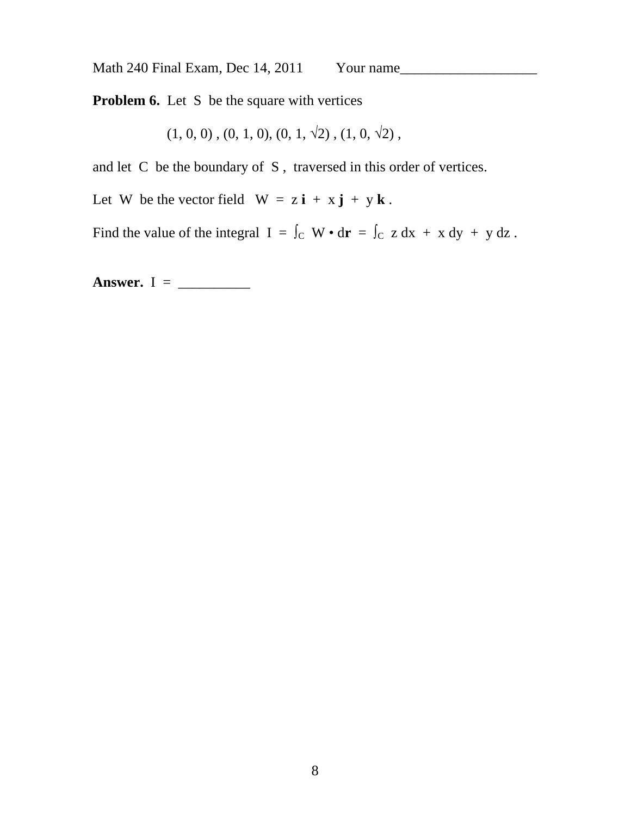**Problem 6.** Let S be the square with vertices

 $(1, 0, 0)$ ,  $(0, 1, 0)$ ,  $(0, 1, \sqrt{2})$ ,  $(1, 0, \sqrt{2})$ ,

and let C be the boundary of S , traversed in this order of vertices.

Let W be the vector field  $W = z \mathbf{i} + x \mathbf{j} + y \mathbf{k}$ .

Find the value of the integral  $I = \int_C W \cdot d\mathbf{r} = \int_C z dx + x dy + y dz$ .

**Answer.**  $I = \_$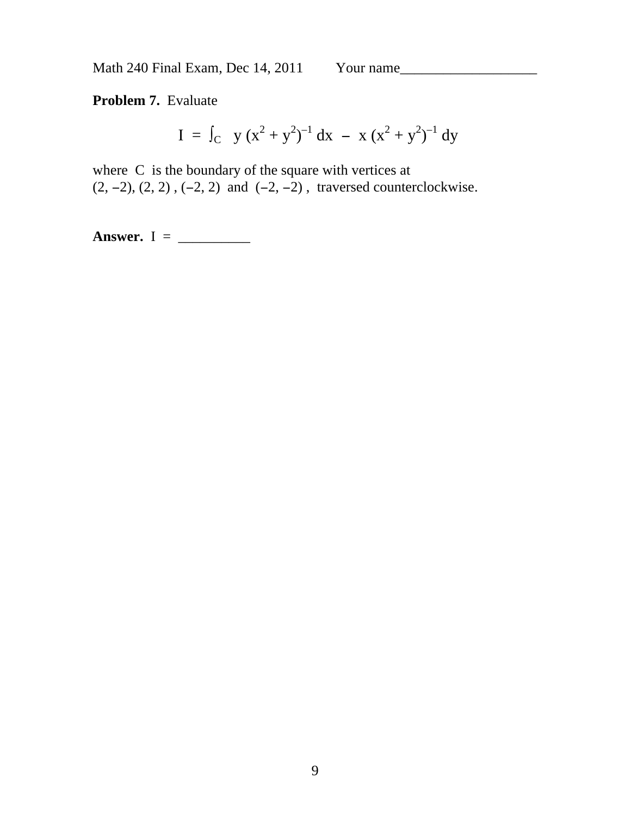**Problem 7.** Evaluate

$$
I = \int_C y (x^2 + y^2)^{-1} dx - x (x^2 + y^2)^{-1} dy
$$

where C is the boundary of the square with vertices at  $(2, -2), (2, 2), (-2, 2)$  and  $(-2, -2)$ , traversed counterclockwise.

**Answer.** I = \_\_\_\_\_\_\_\_\_\_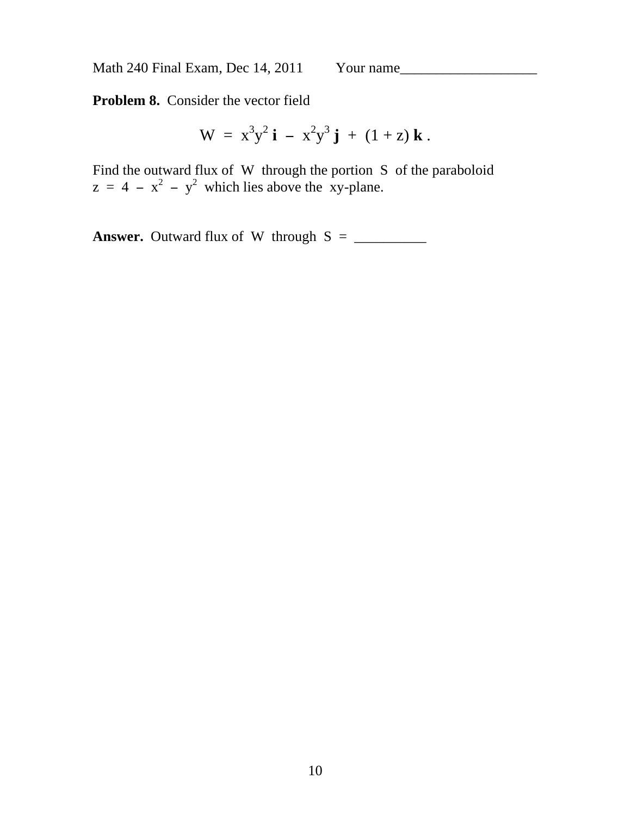**Problem 8.** Consider the vector field

$$
W = x3y2 i - x2y3 j + (1 + z) k.
$$

Find the outward flux of W through the portion S of the paraboloid  $z = 4 - x^2 - y^2$  which lies above the xy-plane.

**Answer.** Outward flux of W through S = \_\_\_\_\_\_\_\_\_\_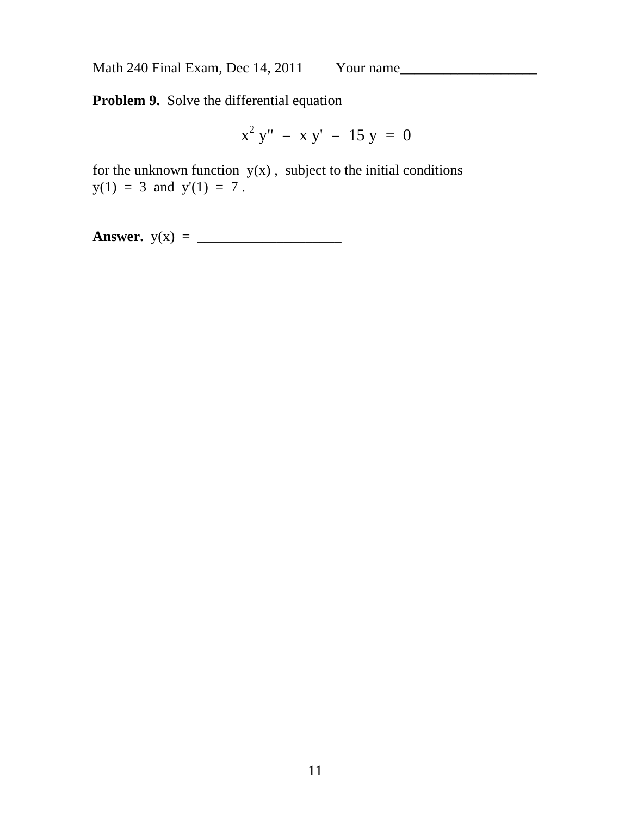**Problem 9.** Solve the differential equation

$$
x^2 y'' - x y' - 15 y = 0
$$

for the unknown function  $y(x)$ , subject to the initial conditions  $y(1) = 3$  and  $y'(1) = 7$ .

**Answer.** y(x) = \_\_\_\_\_\_\_\_\_\_\_\_\_\_\_\_\_\_\_\_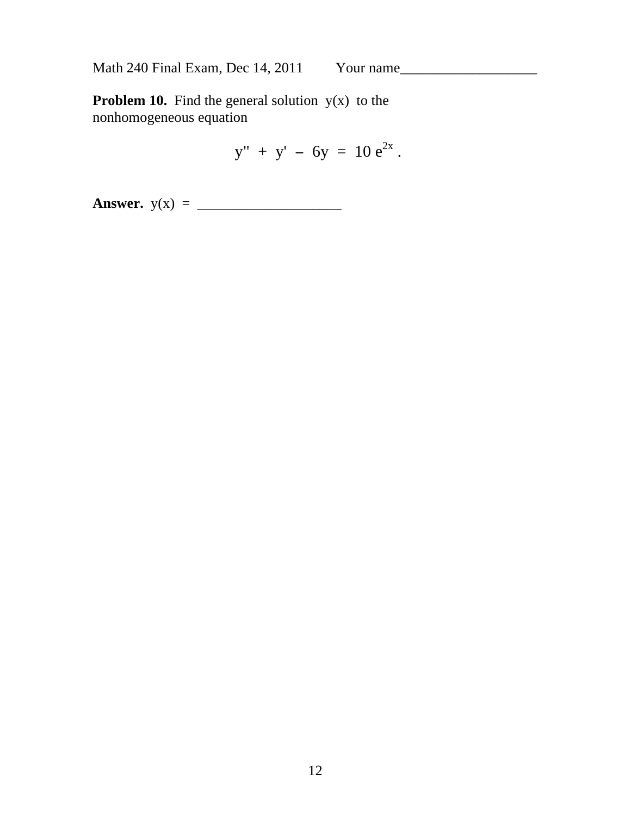**Problem 10.** Find the general solution  $y(x)$  to the nonhomogeneous equation

$$
y'' + y' - 6y = 10 e^{2x}.
$$

**Answer.** y(x) = \_\_\_\_\_\_\_\_\_\_\_\_\_\_\_\_\_\_\_\_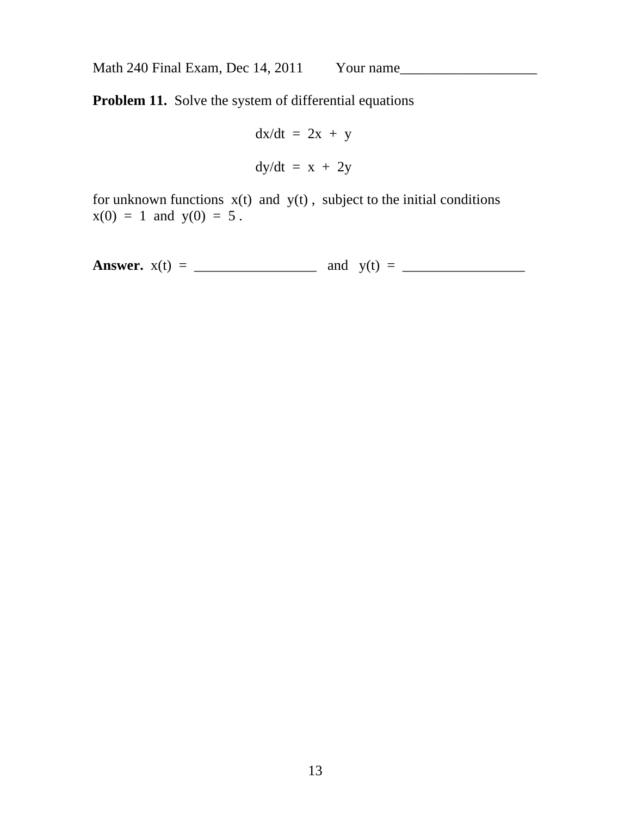**Problem 11.** Solve the system of differential equations

$$
dx/dt = 2x + y
$$

$$
dy/dt = x + 2y
$$

for unknown functions  $x(t)$  and  $y(t)$ , subject to the initial conditions  $x(0) = 1$  and  $y(0) = 5$ .

**Answer.** x(t) = \_\_\_\_\_\_\_\_\_\_\_\_\_\_\_\_\_ and y(t) = \_\_\_\_\_\_\_\_\_\_\_\_\_\_\_\_\_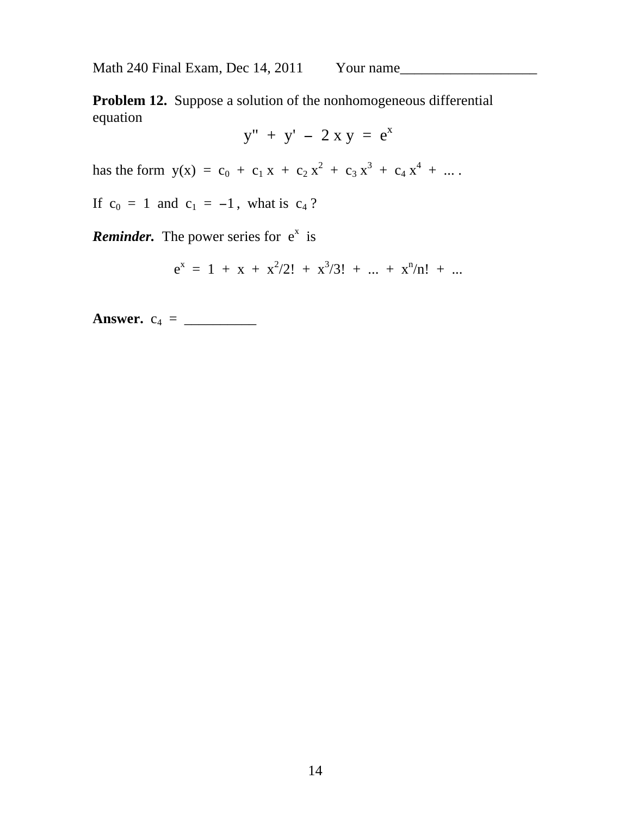**Problem 12.** Suppose a solution of the nonhomogeneous differential equation

$$
y'' + y' - 2 x y = e^x
$$

has the form  $y(x) = c_0 + c_1 x + c_2 x^2 + c_3 x^3 + c_4 x^4 + ...$ 

If  $c_0 = 1$  and  $c_1 = -1$ , what is  $c_4$ ?

**Reminder.** The power series for  $e^x$  is

$$
e^x = 1 + x + x^2/2! + x^3/3! + ... + x^n/n! + ...
$$

**Answer.** c4 = \_\_\_\_\_\_\_\_\_\_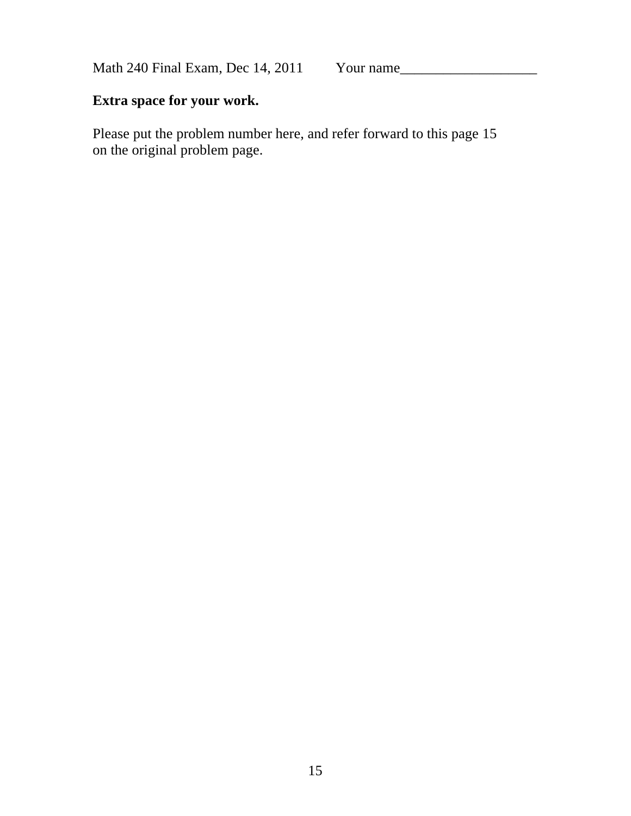## **Extra space for your work.**

Please put the problem number here, and refer forward to this page 15 on the original problem page.